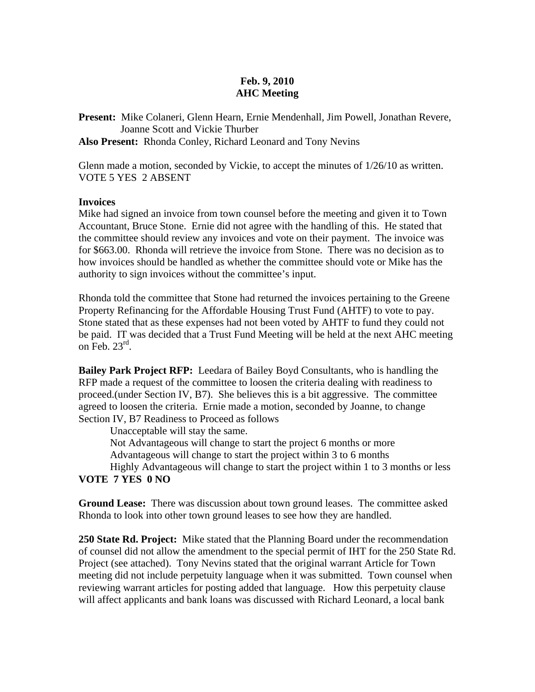## **Feb. 9, 2010 AHC Meeting**

**Present:** Mike Colaneri, Glenn Hearn, Ernie Mendenhall, Jim Powell, Jonathan Revere, Joanne Scott and Vickie Thurber

**Also Present:** Rhonda Conley, Richard Leonard and Tony Nevins

Glenn made a motion, seconded by Vickie, to accept the minutes of 1/26/10 as written. VOTE 5 YES 2 ABSENT

## **Invoices**

Mike had signed an invoice from town counsel before the meeting and given it to Town Accountant, Bruce Stone. Ernie did not agree with the handling of this. He stated that the committee should review any invoices and vote on their payment. The invoice was for \$663.00. Rhonda will retrieve the invoice from Stone. There was no decision as to how invoices should be handled as whether the committee should vote or Mike has the authority to sign invoices without the committee's input.

Rhonda told the committee that Stone had returned the invoices pertaining to the Greene Property Refinancing for the Affordable Housing Trust Fund (AHTF) to vote to pay. Stone stated that as these expenses had not been voted by AHTF to fund they could not be paid. IT was decided that a Trust Fund Meeting will be held at the next AHC meeting on Feb.  $23<sup>rd</sup>$ .

**Bailey Park Project RFP:** Leedara of Bailey Boyd Consultants, who is handling the RFP made a request of the committee to loosen the criteria dealing with readiness to proceed.(under Section IV, B7). She believes this is a bit aggressive. The committee agreed to loosen the criteria. Ernie made a motion, seconded by Joanne, to change Section IV, B7 Readiness to Proceed as follows

 Unacceptable will stay the same. Not Advantageous will change to start the project 6 months or more

Advantageous will change to start the project within 3 to 6 months

 Highly Advantageous will change to start the project within 1 to 3 months or less **VOTE 7 YES 0 NO** 

**Ground Lease:** There was discussion about town ground leases. The committee asked Rhonda to look into other town ground leases to see how they are handled.

**250 State Rd. Project:** Mike stated that the Planning Board under the recommendation of counsel did not allow the amendment to the special permit of IHT for the 250 State Rd. Project (see attached). Tony Nevins stated that the original warrant Article for Town meeting did not include perpetuity language when it was submitted. Town counsel when reviewing warrant articles for posting added that language. How this perpetuity clause will affect applicants and bank loans was discussed with Richard Leonard, a local bank